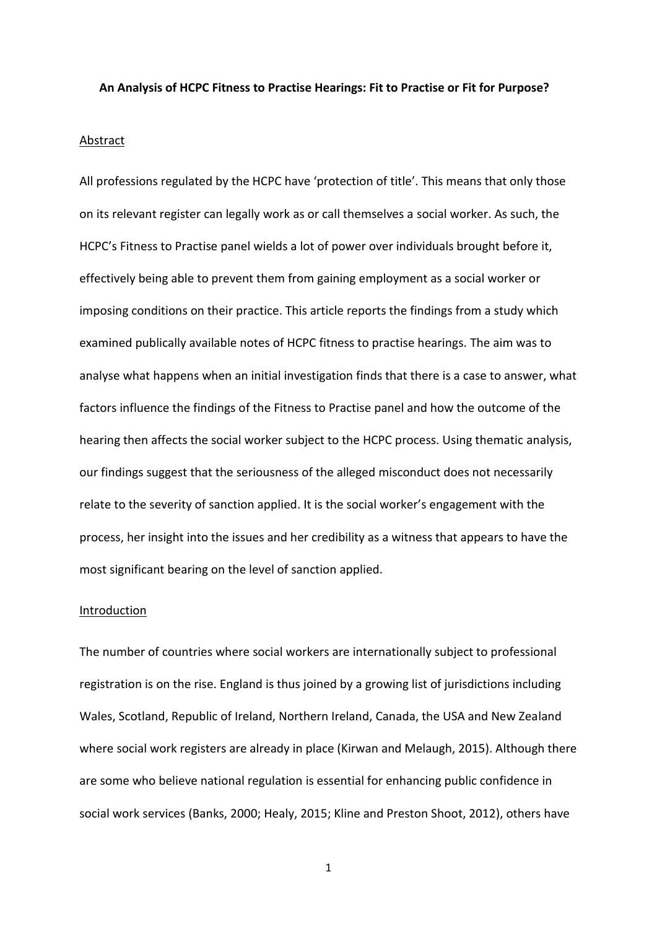#### **An Analysis of HCPC Fitness to Practise Hearings: Fit to Practise or Fit for Purpose?**

## **Abstract**

All professions regulated by the HCPC have 'protection of title'. This means that only those on its relevant register can legally work as or call themselves a social worker. As such, the HCPC's Fitness to Practise panel wields a lot of power over individuals brought before it, effectively being able to prevent them from gaining employment as a social worker or imposing conditions on their practice. This article reports the findings from a study which examined publically available notes of HCPC fitness to practise hearings. The aim was to analyse what happens when an initial investigation finds that there is a case to answer, what factors influence the findings of the Fitness to Practise panel and how the outcome of the hearing then affects the social worker subject to the HCPC process. Using thematic analysis, our findings suggest that the seriousness of the alleged misconduct does not necessarily relate to the severity of sanction applied. It is the social worker's engagement with the process, her insight into the issues and her credibility as a witness that appears to have the most significant bearing on the level of sanction applied.

## Introduction

The number of countries where social workers are internationally subject to professional registration is on the rise. England is thus joined by a growing list of jurisdictions including Wales, Scotland, Republic of Ireland, Northern Ireland, Canada, the USA and New Zealand where social work registers are already in place (Kirwan and Melaugh, 2015). Although there are some who believe national regulation is essential for enhancing public confidence in social work services (Banks, 2000; Healy, 2015; Kline and Preston Shoot, 2012), others have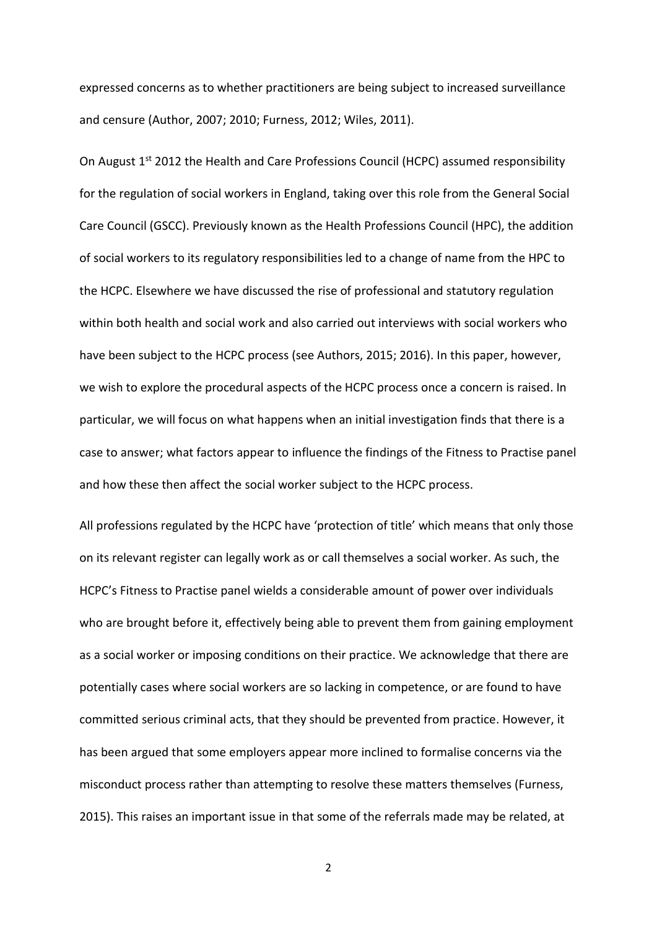expressed concerns as to whether practitioners are being subject to increased surveillance and censure (Author, 2007; 2010; Furness, 2012; Wiles, 2011).

On August 1<sup>st</sup> 2012 the Health and Care Professions Council (HCPC) assumed responsibility for the regulation of social workers in England, taking over this role from the General Social Care Council (GSCC). Previously known as the Health Professions Council (HPC), the addition of social workers to its regulatory responsibilities led to a change of name from the HPC to the HCPC. Elsewhere we have discussed the rise of professional and statutory regulation within both health and social work and also carried out interviews with social workers who have been subject to the HCPC process (see Authors, 2015; 2016). In this paper, however, we wish to explore the procedural aspects of the HCPC process once a concern is raised. In particular, we will focus on what happens when an initial investigation finds that there is a case to answer; what factors appear to influence the findings of the Fitness to Practise panel and how these then affect the social worker subject to the HCPC process.

All professions regulated by the HCPC have 'protection of title' which means that only those on its relevant register can legally work as or call themselves a social worker. As such, the HCPC's Fitness to Practise panel wields a considerable amount of power over individuals who are brought before it, effectively being able to prevent them from gaining employment as a social worker or imposing conditions on their practice. We acknowledge that there are potentially cases where social workers are so lacking in competence, or are found to have committed serious criminal acts, that they should be prevented from practice. However, it has been argued that some employers appear more inclined to formalise concerns via the misconduct process rather than attempting to resolve these matters themselves (Furness, 2015). This raises an important issue in that some of the referrals made may be related, at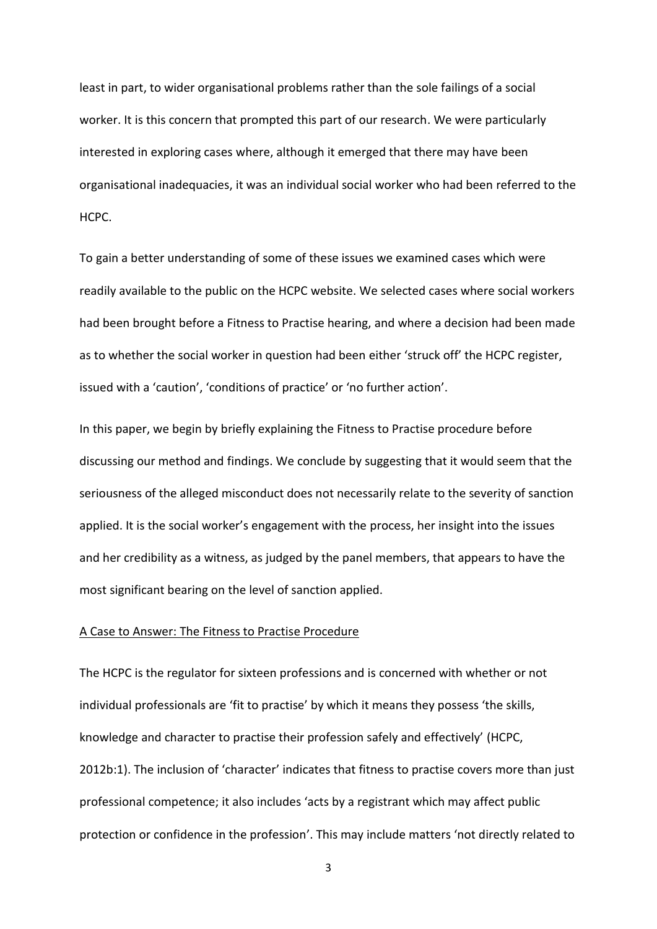least in part, to wider organisational problems rather than the sole failings of a social worker. It is this concern that prompted this part of our research. We were particularly interested in exploring cases where, although it emerged that there may have been organisational inadequacies, it was an individual social worker who had been referred to the HCPC.

To gain a better understanding of some of these issues we examined cases which were readily available to the public on the HCPC website. We selected cases where social workers had been brought before a Fitness to Practise hearing, and where a decision had been made as to whether the social worker in question had been either 'struck off' the HCPC register, issued with a 'caution', 'conditions of practice' or 'no further action'.

In this paper, we begin by briefly explaining the Fitness to Practise procedure before discussing our method and findings. We conclude by suggesting that it would seem that the seriousness of the alleged misconduct does not necessarily relate to the severity of sanction applied. It is the social worker's engagement with the process, her insight into the issues and her credibility as a witness, as judged by the panel members, that appears to have the most significant bearing on the level of sanction applied.

#### A Case to Answer: The Fitness to Practise Procedure

The HCPC is the regulator for sixteen professions and is concerned with whether or not individual professionals are 'fit to practise' by which it means they possess 'the skills, knowledge and character to practise their profession safely and effectively' (HCPC, 2012b:1). The inclusion of 'character' indicates that fitness to practise covers more than just professional competence; it also includes 'acts by a registrant which may affect public protection or confidence in the profession'. This may include matters 'not directly related to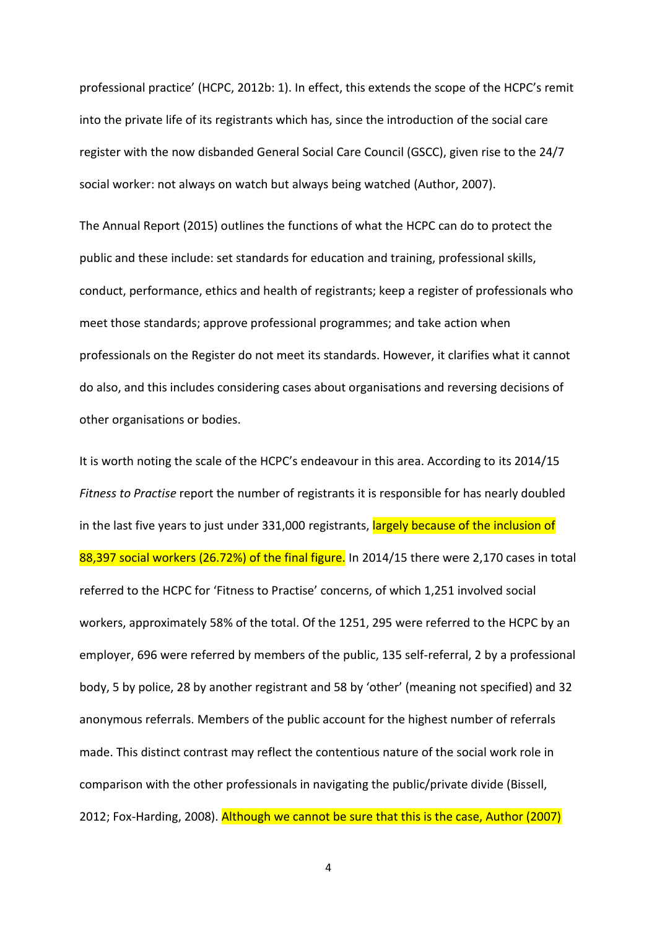professional practice' (HCPC, 2012b: 1). In effect, this extends the scope of the HCPC's remit into the private life of its registrants which has, since the introduction of the social care register with the now disbanded General Social Care Council (GSCC), given rise to the 24/7 social worker: not always on watch but always being watched (Author, 2007).

The Annual Report (2015) outlines the functions of what the HCPC can do to protect the public and these include: set standards for education and training, professional skills, conduct, performance, ethics and health of registrants; keep a register of professionals who meet those standards; approve professional programmes; and take action when professionals on the Register do not meet its standards. However, it clarifies what it cannot do also, and this includes considering cases about organisations and reversing decisions of other organisations or bodies.

It is worth noting the scale of the HCPC's endeavour in this area. According to its 2014/15 *Fitness to Practise* report the number of registrants it is responsible for has nearly doubled in the last five years to just under 331,000 registrants, largely because of the inclusion of 88,397 social workers (26.72%) of the final figure. In 2014/15 there were 2,170 cases in total referred to the HCPC for 'Fitness to Practise' concerns, of which 1,251 involved social workers, approximately 58% of the total. Of the 1251, 295 were referred to the HCPC by an employer, 696 were referred by members of the public, 135 self-referral, 2 by a professional body, 5 by police, 28 by another registrant and 58 by 'other' (meaning not specified) and 32 anonymous referrals. Members of the public account for the highest number of referrals made. This distinct contrast may reflect the contentious nature of the social work role in comparison with the other professionals in navigating the public/private divide (Bissell, 2012; Fox-Harding, 2008). Although we cannot be sure that this is the case, Author (2007)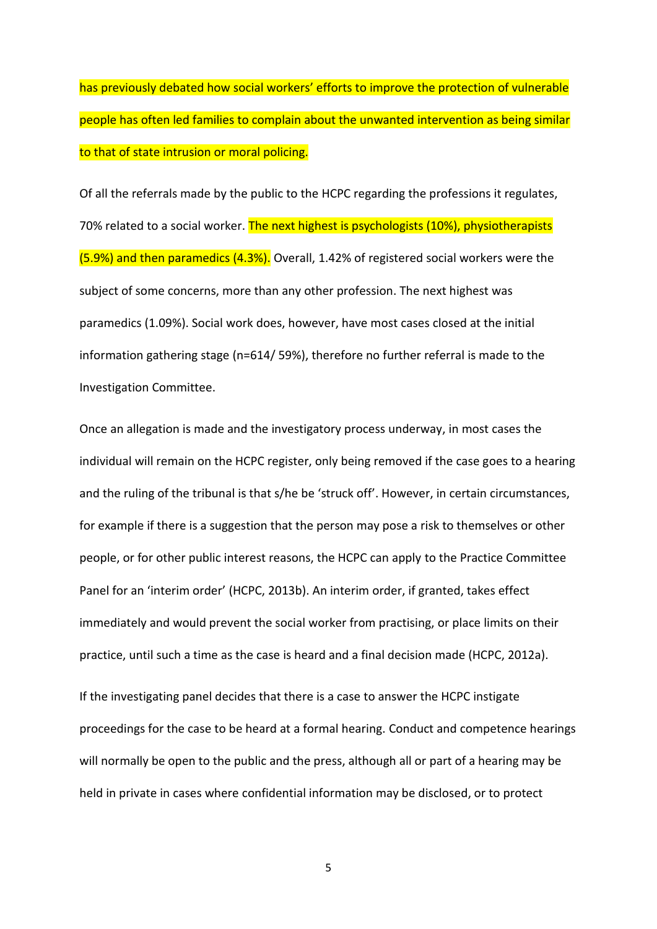has previously debated how social workers' efforts to improve the protection of vulnerable people has often led families to complain about the unwanted intervention as being similar to that of state intrusion or moral policing.

Of all the referrals made by the public to the HCPC regarding the professions it regulates, 70% related to a social worker. The next highest is psychologists (10%), physiotherapists (5.9%) and then paramedics (4.3%). Overall, 1.42% of registered social workers were the subject of some concerns, more than any other profession. The next highest was paramedics (1.09%). Social work does, however, have most cases closed at the initial information gathering stage (n=614/ 59%), therefore no further referral is made to the Investigation Committee.

Once an allegation is made and the investigatory process underway, in most cases the individual will remain on the HCPC register, only being removed if the case goes to a hearing and the ruling of the tribunal is that s/he be 'struck off'. However, in certain circumstances, for example if there is a suggestion that the person may pose a risk to themselves or other people, or for other public interest reasons, the HCPC can apply to the Practice Committee Panel for an 'interim order' (HCPC, 2013b). An interim order, if granted, takes effect immediately and would prevent the social worker from practising, or place limits on their practice, until such a time as the case is heard and a final decision made (HCPC, 2012a).

If the investigating panel decides that there is a case to answer the HCPC instigate proceedings for the case to be heard at a formal hearing. Conduct and competence hearings will normally be open to the public and the press, although all or part of a hearing may be held in private in cases where confidential information may be disclosed, or to protect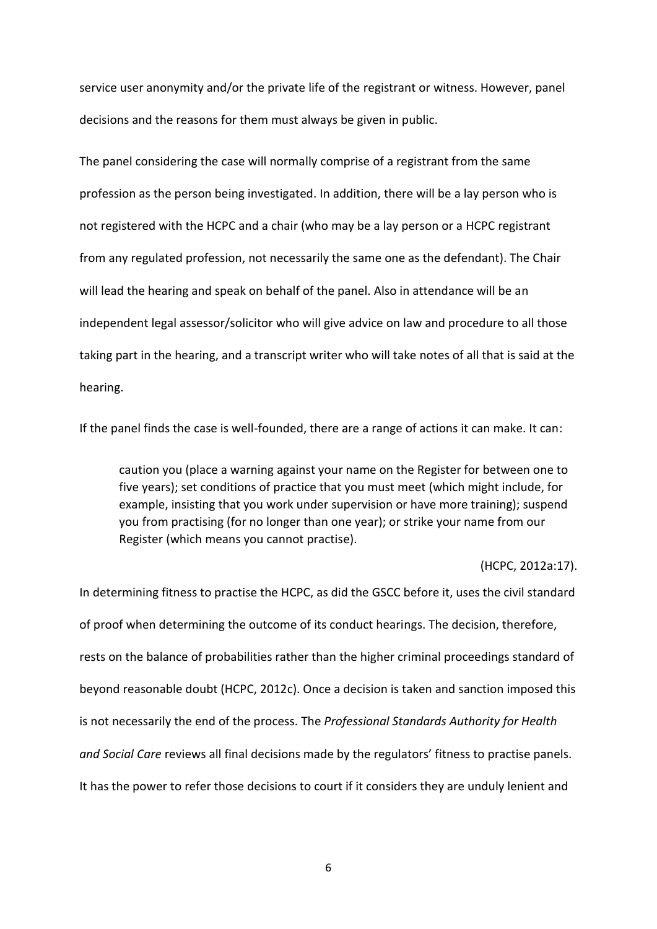service user anonymity and/or the private life of the registrant or witness. However, panel decisions and the reasons for them must always be given in public.

The panel considering the case will normally comprise of a registrant from the same profession as the person being investigated. In addition, there will be a lay person who is not registered with the HCPC and a chair (who may be a lay person or a HCPC registrant from any regulated profession, not necessarily the same one as the defendant). The Chair will lead the hearing and speak on behalf of the panel. Also in attendance will be an independent legal assessor/solicitor who will give advice on law and procedure to all those taking part in the hearing, and a transcript writer who will take notes of all that is said at the hearing.

If the panel finds the case is well-founded, there are a range of actions it can make. It can:

caution you (place a warning against your name on the Register for between one to five years); set conditions of practice that you must meet (which might include, for example, insisting that you work under supervision or have more training); suspend you from practising (for no longer than one year); or strike your name from our Register (which means you cannot practise).

(HCPC, 2012a:17).

In determining fitness to practise the HCPC, as did the GSCC before it, uses the civil standard of proof when determining the outcome of its conduct hearings. The decision, therefore, rests on the balance of probabilities rather than the higher criminal proceedings standard of beyond reasonable doubt (HCPC, 2012c). Once a decision is taken and sanction imposed this is not necessarily the end of the process. The *Professional Standards Authority for Health and Social Care* reviews all final decisions made by the regulators' fitness to practise panels. It has the power to refer those decisions to court if it considers they are unduly lenient and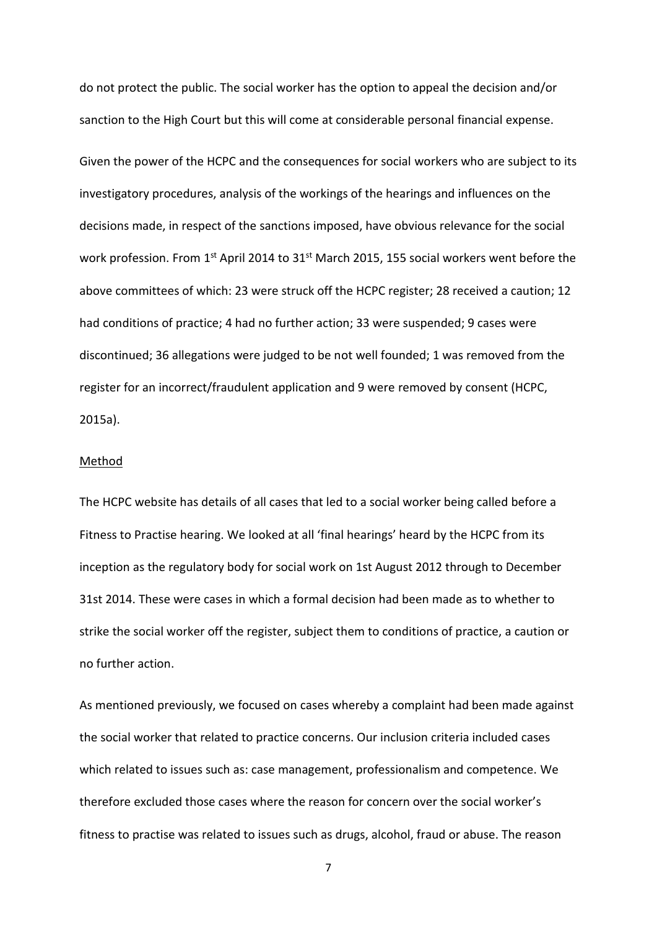do not protect the public. The social worker has the option to appeal the decision and/or sanction to the High Court but this will come at considerable personal financial expense.

Given the power of the HCPC and the consequences for social workers who are subject to its investigatory procedures, analysis of the workings of the hearings and influences on the decisions made, in respect of the sanctions imposed, have obvious relevance for the social work profession. From  $1^{st}$  April 2014 to 31 $^{st}$  March 2015, 155 social workers went before the above committees of which: 23 were struck off the HCPC register; 28 received a caution; 12 had conditions of practice; 4 had no further action; 33 were suspended; 9 cases were discontinued; 36 allegations were judged to be not well founded; 1 was removed from the register for an incorrect/fraudulent application and 9 were removed by consent (HCPC, 2015a).

### Method

The HCPC website has details of all cases that led to a social worker being called before a Fitness to Practise hearing. We looked at all 'final hearings' heard by the HCPC from its inception as the regulatory body for social work on 1st August 2012 through to December 31st 2014. These were cases in which a formal decision had been made as to whether to strike the social worker off the register, subject them to conditions of practice, a caution or no further action.

As mentioned previously, we focused on cases whereby a complaint had been made against the social worker that related to practice concerns. Our inclusion criteria included cases which related to issues such as: case management, professionalism and competence. We therefore excluded those cases where the reason for concern over the social worker's fitness to practise was related to issues such as drugs, alcohol, fraud or abuse. The reason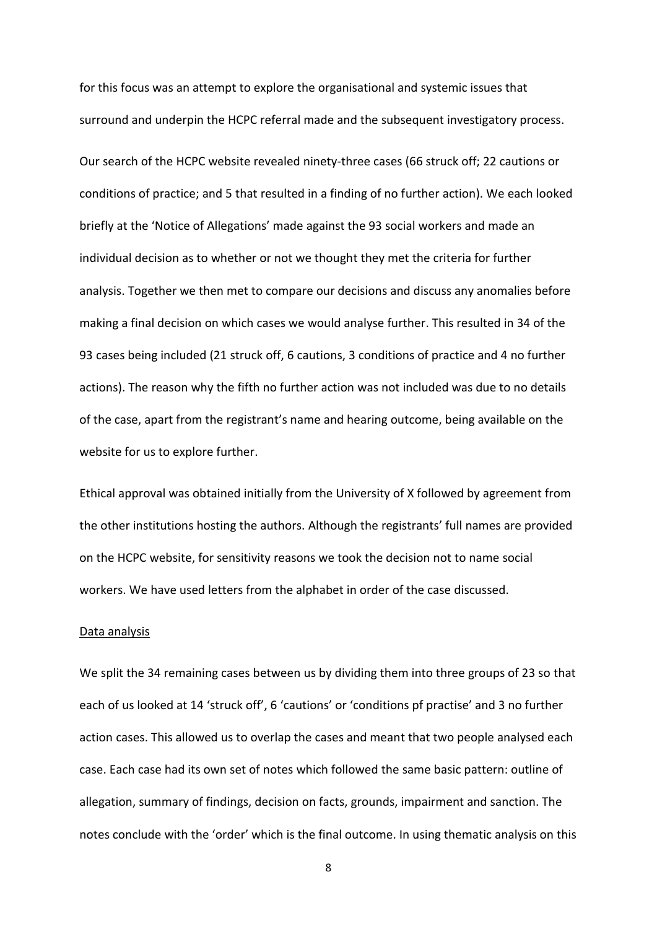for this focus was an attempt to explore the organisational and systemic issues that surround and underpin the HCPC referral made and the subsequent investigatory process.

Our search of the HCPC website revealed ninety-three cases (66 struck off; 22 cautions or conditions of practice; and 5 that resulted in a finding of no further action). We each looked briefly at the 'Notice of Allegations' made against the 93 social workers and made an individual decision as to whether or not we thought they met the criteria for further analysis. Together we then met to compare our decisions and discuss any anomalies before making a final decision on which cases we would analyse further. This resulted in 34 of the 93 cases being included (21 struck off, 6 cautions, 3 conditions of practice and 4 no further actions). The reason why the fifth no further action was not included was due to no details of the case, apart from the registrant's name and hearing outcome, being available on the website for us to explore further.

Ethical approval was obtained initially from the University of X followed by agreement from the other institutions hosting the authors. Although the registrants' full names are provided on the HCPC website, for sensitivity reasons we took the decision not to name social workers. We have used letters from the alphabet in order of the case discussed.

#### Data analysis

We split the 34 remaining cases between us by dividing them into three groups of 23 so that each of us looked at 14 'struck off', 6 'cautions' or 'conditions pf practise' and 3 no further action cases. This allowed us to overlap the cases and meant that two people analysed each case. Each case had its own set of notes which followed the same basic pattern: outline of allegation, summary of findings, decision on facts, grounds, impairment and sanction. The notes conclude with the 'order' which is the final outcome. In using thematic analysis on this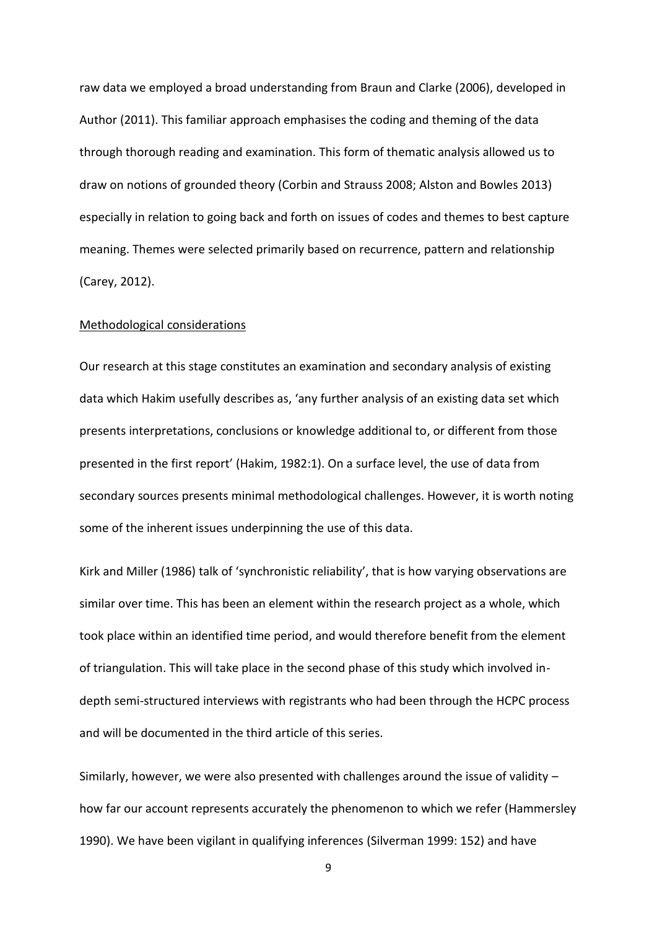raw data we employed a broad understanding from Braun and Clarke (2006), developed in Author (2011). This familiar approach emphasises the coding and theming of the data through thorough reading and examination. This form of thematic analysis allowed us to draw on notions of grounded theory (Corbin and Strauss 2008; Alston and Bowles 2013) especially in relation to going back and forth on issues of codes and themes to best capture meaning. Themes were selected primarily based on recurrence, pattern and relationship (Carey, 2012).

#### Methodological considerations

Our research at this stage constitutes an examination and secondary analysis of existing data which Hakim usefully describes as, 'any further analysis of an existing data set which presents interpretations, conclusions or knowledge additional to, or different from those presented in the first report' (Hakim, 1982:1). On a surface level, the use of data from secondary sources presents minimal methodological challenges. However, it is worth noting some of the inherent issues underpinning the use of this data.

Kirk and Miller (1986) talk of 'synchronistic reliability', that is how varying observations are similar over time. This has been an element within the research project as a whole, which took place within an identified time period, and would therefore benefit from the element of triangulation. This will take place in the second phase of this study which involved indepth semi-structured interviews with registrants who had been through the HCPC process and will be documented in the third article of this series.

Similarly, however, we were also presented with challenges around the issue of validity – how far our account represents accurately the phenomenon to which we refer (Hammersley 1990). We have been vigilant in qualifying inferences (Silverman 1999: 152) and have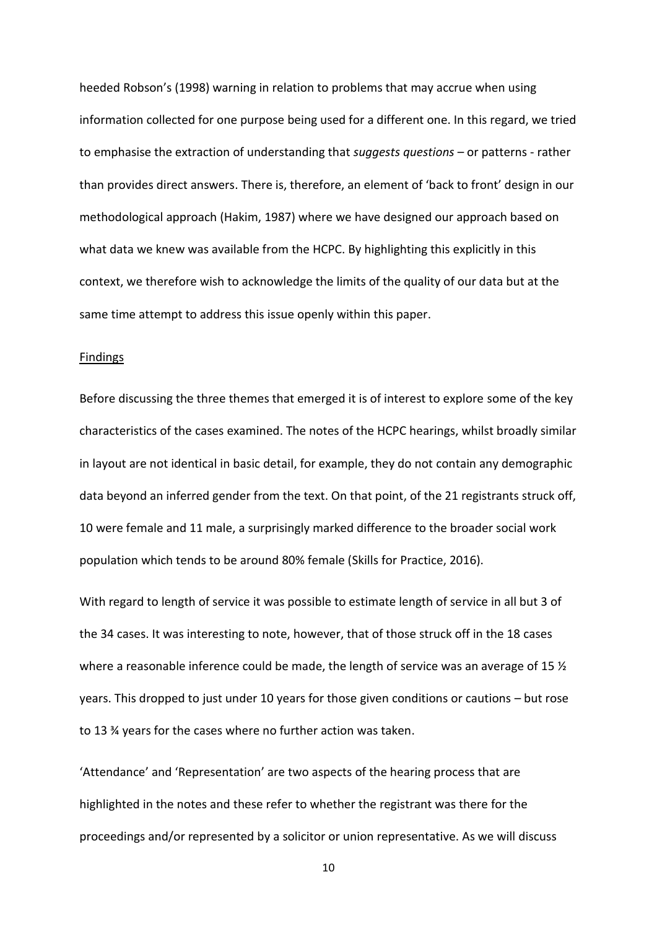heeded Robson's (1998) warning in relation to problems that may accrue when using information collected for one purpose being used for a different one. In this regard, we tried to emphasise the extraction of understanding that *suggests questions* – or patterns - rather than provides direct answers. There is, therefore, an element of 'back to front' design in our methodological approach (Hakim, 1987) where we have designed our approach based on what data we knew was available from the HCPC. By highlighting this explicitly in this context, we therefore wish to acknowledge the limits of the quality of our data but at the same time attempt to address this issue openly within this paper.

## Findings

Before discussing the three themes that emerged it is of interest to explore some of the key characteristics of the cases examined. The notes of the HCPC hearings, whilst broadly similar in layout are not identical in basic detail, for example, they do not contain any demographic data beyond an inferred gender from the text. On that point, of the 21 registrants struck off, 10 were female and 11 male, a surprisingly marked difference to the broader social work population which tends to be around 80% female (Skills for Practice, 2016).

With regard to length of service it was possible to estimate length of service in all but 3 of the 34 cases. It was interesting to note, however, that of those struck off in the 18 cases where a reasonable inference could be made, the length of service was an average of 15  $\frac{1}{2}$ years. This dropped to just under 10 years for those given conditions or cautions – but rose to 13 ¾ years for the cases where no further action was taken.

'Attendance' and 'Representation' are two aspects of the hearing process that are highlighted in the notes and these refer to whether the registrant was there for the proceedings and/or represented by a solicitor or union representative. As we will discuss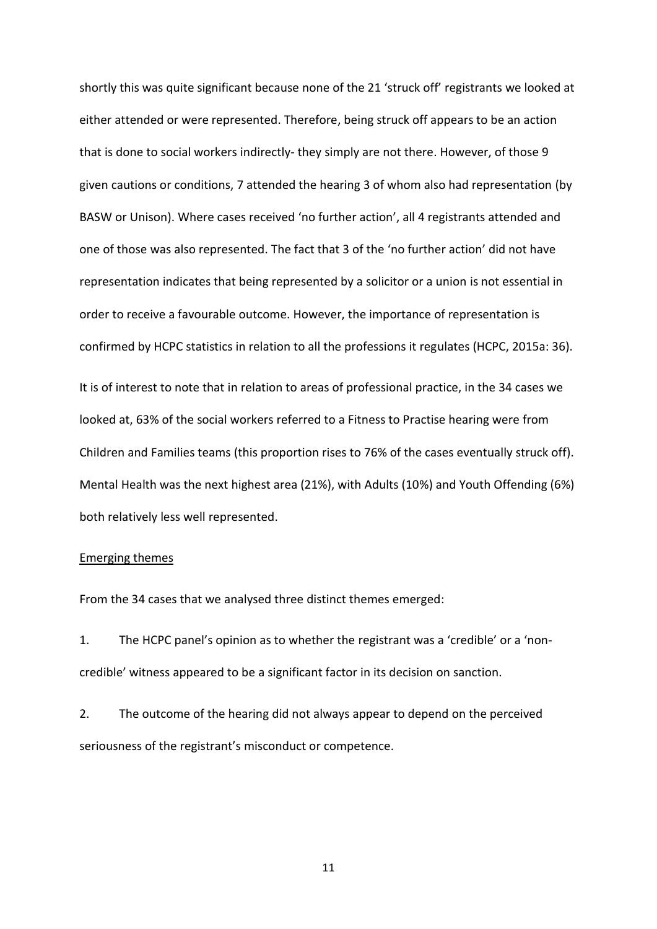shortly this was quite significant because none of the 21 'struck off' registrants we looked at either attended or were represented. Therefore, being struck off appears to be an action that is done to social workers indirectly- they simply are not there. However, of those 9 given cautions or conditions, 7 attended the hearing 3 of whom also had representation (by BASW or Unison). Where cases received 'no further action', all 4 registrants attended and one of those was also represented. The fact that 3 of the 'no further action' did not have representation indicates that being represented by a solicitor or a union is not essential in order to receive a favourable outcome. However, the importance of representation is confirmed by HCPC statistics in relation to all the professions it regulates (HCPC, 2015a: 36). It is of interest to note that in relation to areas of professional practice, in the 34 cases we

looked at, 63% of the social workers referred to a Fitness to Practise hearing were from Children and Families teams (this proportion rises to 76% of the cases eventually struck off). Mental Health was the next highest area (21%), with Adults (10%) and Youth Offending (6%) both relatively less well represented.

## Emerging themes

From the 34 cases that we analysed three distinct themes emerged:

1. The HCPC panel's opinion as to whether the registrant was a 'credible' or a 'noncredible' witness appeared to be a significant factor in its decision on sanction.

2. The outcome of the hearing did not always appear to depend on the perceived seriousness of the registrant's misconduct or competence.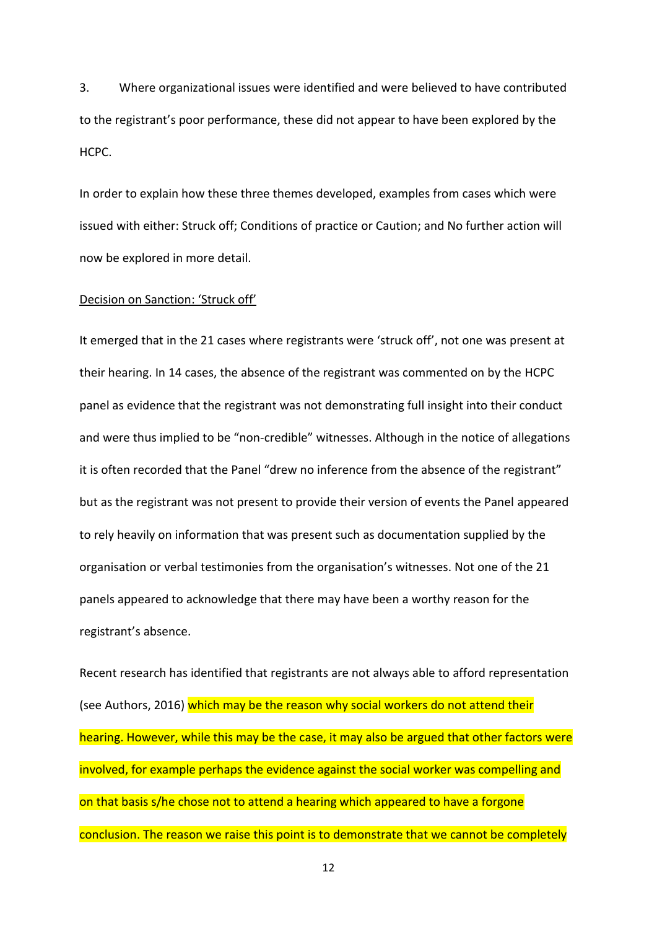3. Where organizational issues were identified and were believed to have contributed to the registrant's poor performance, these did not appear to have been explored by the HCPC.

In order to explain how these three themes developed, examples from cases which were issued with either: Struck off; Conditions of practice or Caution; and No further action will now be explored in more detail.

## Decision on Sanction: 'Struck off'

It emerged that in the 21 cases where registrants were 'struck off', not one was present at their hearing. In 14 cases, the absence of the registrant was commented on by the HCPC panel as evidence that the registrant was not demonstrating full insight into their conduct and were thus implied to be "non-credible" witnesses. Although in the notice of allegations it is often recorded that the Panel "drew no inference from the absence of the registrant" but as the registrant was not present to provide their version of events the Panel appeared to rely heavily on information that was present such as documentation supplied by the organisation or verbal testimonies from the organisation's witnesses. Not one of the 21 panels appeared to acknowledge that there may have been a worthy reason for the registrant's absence.

Recent research has identified that registrants are not always able to afford representation (see Authors, 2016) which may be the reason why social workers do not attend their hearing. However, while this may be the case, it may also be argued that other factors were involved, for example perhaps the evidence against the social worker was compelling and on that basis s/he chose not to attend a hearing which appeared to have a forgone conclusion. The reason we raise this point is to demonstrate that we cannot be completely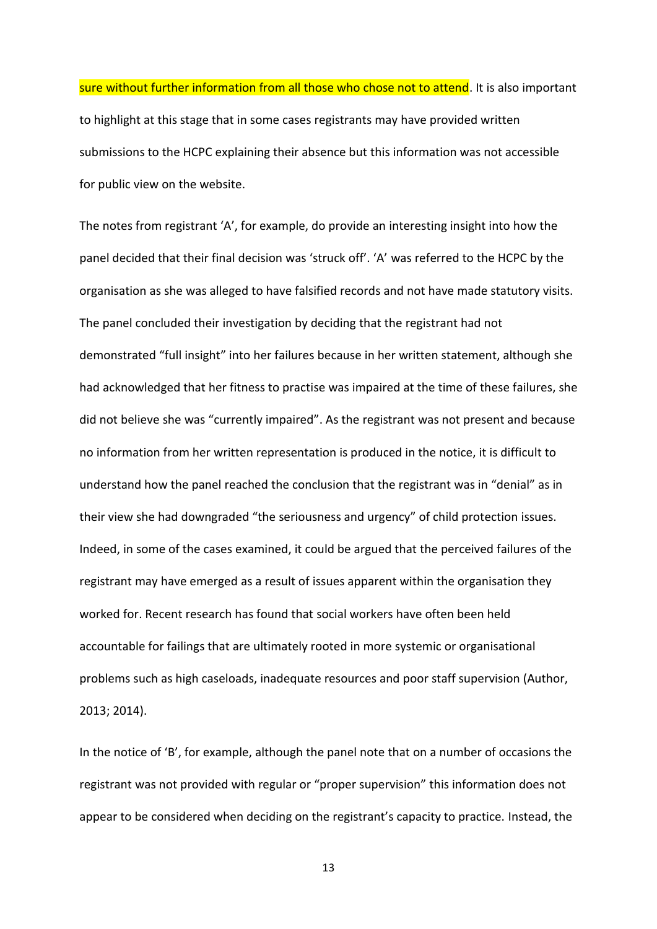sure without further information from all those who chose not to attend. It is also important to highlight at this stage that in some cases registrants may have provided written submissions to the HCPC explaining their absence but this information was not accessible for public view on the website.

The notes from registrant 'A', for example, do provide an interesting insight into how the panel decided that their final decision was 'struck off'. 'A' was referred to the HCPC by the organisation as she was alleged to have falsified records and not have made statutory visits. The panel concluded their investigation by deciding that the registrant had not demonstrated "full insight" into her failures because in her written statement, although she had acknowledged that her fitness to practise was impaired at the time of these failures, she did not believe she was "currently impaired". As the registrant was not present and because no information from her written representation is produced in the notice, it is difficult to understand how the panel reached the conclusion that the registrant was in "denial" as in their view she had downgraded "the seriousness and urgency" of child protection issues. Indeed, in some of the cases examined, it could be argued that the perceived failures of the registrant may have emerged as a result of issues apparent within the organisation they worked for. Recent research has found that social workers have often been held accountable for failings that are ultimately rooted in more systemic or organisational problems such as high caseloads, inadequate resources and poor staff supervision (Author, 2013; 2014).

In the notice of 'B', for example, although the panel note that on a number of occasions the registrant was not provided with regular or "proper supervision" this information does not appear to be considered when deciding on the registrant's capacity to practice. Instead, the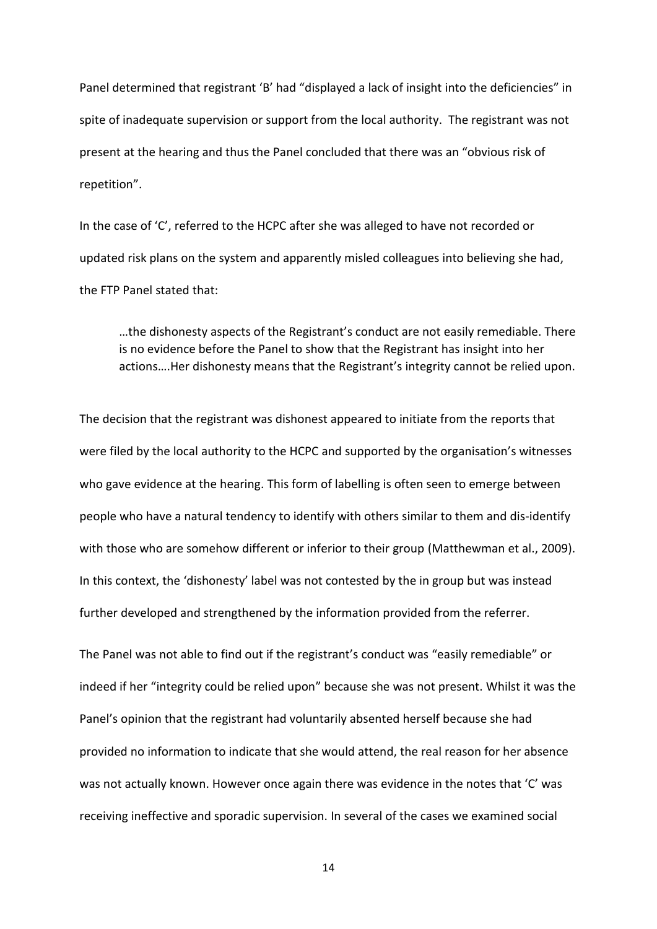Panel determined that registrant 'B' had "displayed a lack of insight into the deficiencies" in spite of inadequate supervision or support from the local authority. The registrant was not present at the hearing and thus the Panel concluded that there was an "obvious risk of repetition".

In the case of 'C', referred to the HCPC after she was alleged to have not recorded or updated risk plans on the system and apparently misled colleagues into believing she had, the FTP Panel stated that:

…the dishonesty aspects of the Registrant's conduct are not easily remediable. There is no evidence before the Panel to show that the Registrant has insight into her actions….Her dishonesty means that the Registrant's integrity cannot be relied upon.

The decision that the registrant was dishonest appeared to initiate from the reports that were filed by the local authority to the HCPC and supported by the organisation's witnesses who gave evidence at the hearing. This form of labelling is often seen to emerge between people who have a natural tendency to identify with others similar to them and dis-identify with those who are somehow different or inferior to their group (Matthewman et al., 2009). In this context, the 'dishonesty' label was not contested by the in group but was instead further developed and strengthened by the information provided from the referrer.

The Panel was not able to find out if the registrant's conduct was "easily remediable" or indeed if her "integrity could be relied upon" because she was not present. Whilst it was the Panel's opinion that the registrant had voluntarily absented herself because she had provided no information to indicate that she would attend, the real reason for her absence was not actually known. However once again there was evidence in the notes that 'C' was receiving ineffective and sporadic supervision. In several of the cases we examined social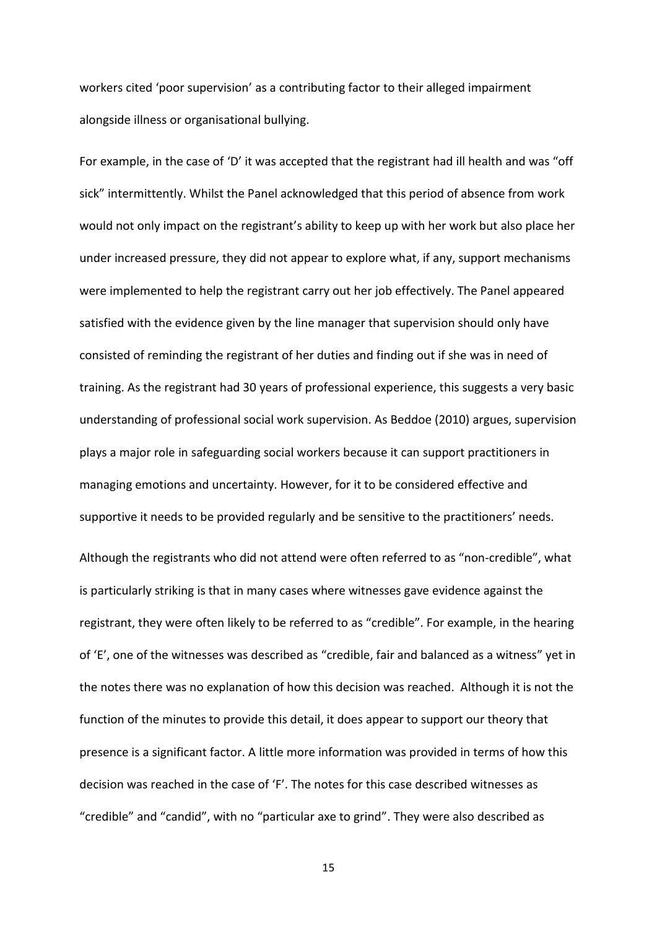workers cited 'poor supervision' as a contributing factor to their alleged impairment alongside illness or organisational bullying.

For example, in the case of 'D' it was accepted that the registrant had ill health and was "off sick" intermittently. Whilst the Panel acknowledged that this period of absence from work would not only impact on the registrant's ability to keep up with her work but also place her under increased pressure, they did not appear to explore what, if any, support mechanisms were implemented to help the registrant carry out her job effectively. The Panel appeared satisfied with the evidence given by the line manager that supervision should only have consisted of reminding the registrant of her duties and finding out if she was in need of training. As the registrant had 30 years of professional experience, this suggests a very basic understanding of professional social work supervision. As Beddoe (2010) argues, supervision plays a major role in safeguarding social workers because it can support practitioners in managing emotions and uncertainty. However, for it to be considered effective and supportive it needs to be provided regularly and be sensitive to the practitioners' needs. Although the registrants who did not attend were often referred to as "non-credible", what is particularly striking is that in many cases where witnesses gave evidence against the registrant, they were often likely to be referred to as "credible". For example, in the hearing of 'E', one of the witnesses was described as "credible, fair and balanced as a witness" yet in the notes there was no explanation of how this decision was reached. Although it is not the function of the minutes to provide this detail, it does appear to support our theory that presence is a significant factor. A little more information was provided in terms of how this decision was reached in the case of 'F'. The notes for this case described witnesses as "credible" and "candid", with no "particular axe to grind". They were also described as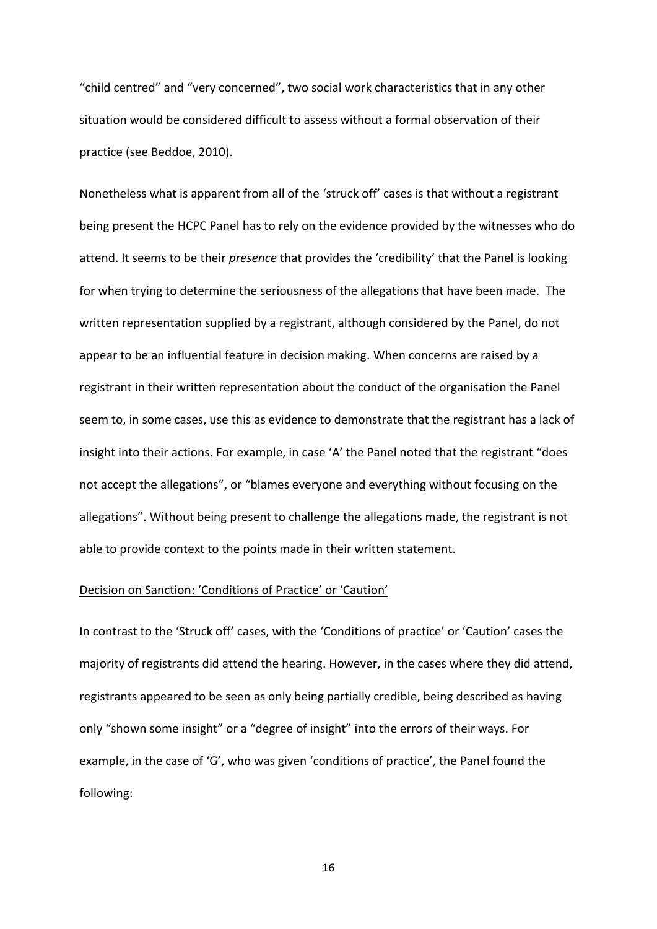"child centred" and "very concerned", two social work characteristics that in any other situation would be considered difficult to assess without a formal observation of their practice (see Beddoe, 2010).

Nonetheless what is apparent from all of the 'struck off' cases is that without a registrant being present the HCPC Panel has to rely on the evidence provided by the witnesses who do attend. It seems to be their *presence* that provides the 'credibility' that the Panel is looking for when trying to determine the seriousness of the allegations that have been made. The written representation supplied by a registrant, although considered by the Panel, do not appear to be an influential feature in decision making. When concerns are raised by a registrant in their written representation about the conduct of the organisation the Panel seem to, in some cases, use this as evidence to demonstrate that the registrant has a lack of insight into their actions. For example, in case 'A' the Panel noted that the registrant "does not accept the allegations", or "blames everyone and everything without focusing on the allegations". Without being present to challenge the allegations made, the registrant is not able to provide context to the points made in their written statement.

## Decision on Sanction: 'Conditions of Practice' or 'Caution'

In contrast to the 'Struck off' cases, with the 'Conditions of practice' or 'Caution' cases the majority of registrants did attend the hearing. However, in the cases where they did attend, registrants appeared to be seen as only being partially credible, being described as having only "shown some insight" or a "degree of insight" into the errors of their ways. For example, in the case of 'G', who was given 'conditions of practice', the Panel found the following: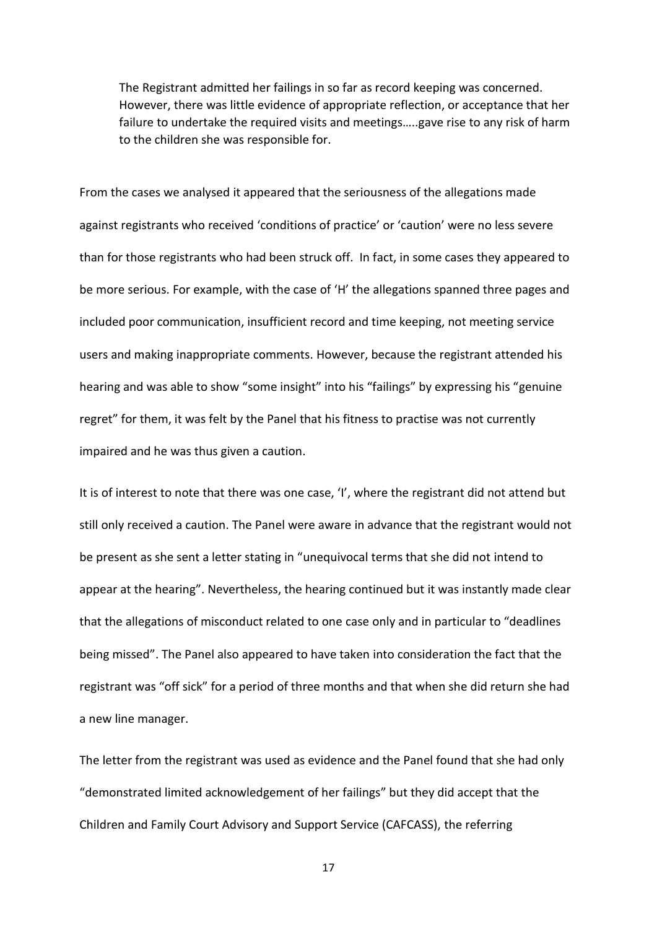The Registrant admitted her failings in so far as record keeping was concerned. However, there was little evidence of appropriate reflection, or acceptance that her failure to undertake the required visits and meetings…..gave rise to any risk of harm to the children she was responsible for.

From the cases we analysed it appeared that the seriousness of the allegations made against registrants who received 'conditions of practice' or 'caution' were no less severe than for those registrants who had been struck off. In fact, in some cases they appeared to be more serious. For example, with the case of 'H' the allegations spanned three pages and included poor communication, insufficient record and time keeping, not meeting service users and making inappropriate comments. However, because the registrant attended his hearing and was able to show "some insight" into his "failings" by expressing his "genuine regret" for them, it was felt by the Panel that his fitness to practise was not currently impaired and he was thus given a caution.

It is of interest to note that there was one case, 'I', where the registrant did not attend but still only received a caution. The Panel were aware in advance that the registrant would not be present as she sent a letter stating in "unequivocal terms that she did not intend to appear at the hearing". Nevertheless, the hearing continued but it was instantly made clear that the allegations of misconduct related to one case only and in particular to "deadlines being missed". The Panel also appeared to have taken into consideration the fact that the registrant was "off sick" for a period of three months and that when she did return she had a new line manager.

The letter from the registrant was used as evidence and the Panel found that she had only "demonstrated limited acknowledgement of her failings" but they did accept that the Children and Family Court Advisory and Support Service (CAFCASS), the referring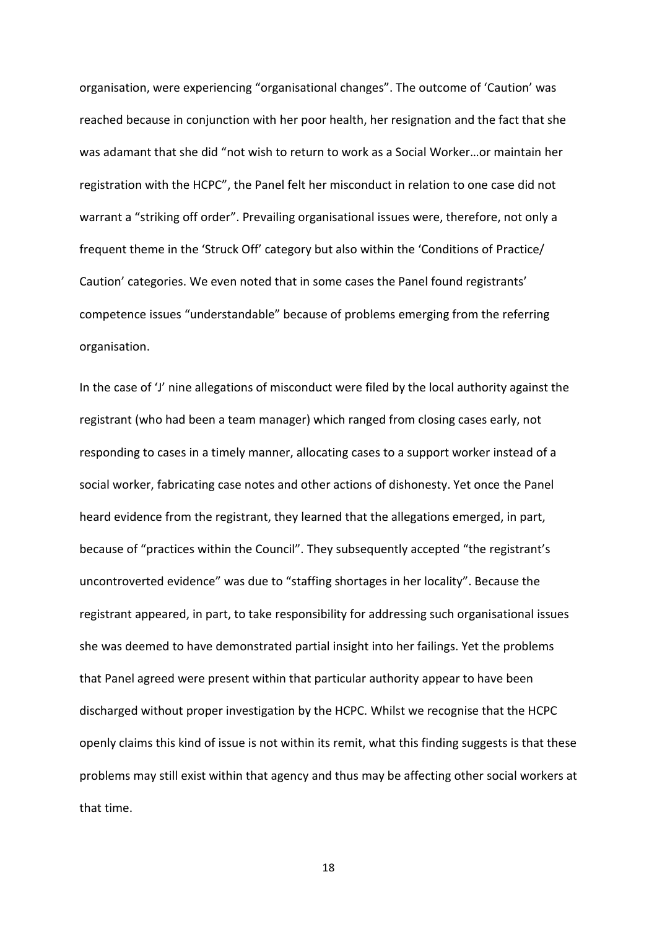organisation, were experiencing "organisational changes". The outcome of 'Caution' was reached because in conjunction with her poor health, her resignation and the fact that she was adamant that she did "not wish to return to work as a Social Worker…or maintain her registration with the HCPC", the Panel felt her misconduct in relation to one case did not warrant a "striking off order". Prevailing organisational issues were, therefore, not only a frequent theme in the 'Struck Off' category but also within the 'Conditions of Practice/ Caution' categories. We even noted that in some cases the Panel found registrants' competence issues "understandable" because of problems emerging from the referring organisation.

In the case of 'J' nine allegations of misconduct were filed by the local authority against the registrant (who had been a team manager) which ranged from closing cases early, not responding to cases in a timely manner, allocating cases to a support worker instead of a social worker, fabricating case notes and other actions of dishonesty. Yet once the Panel heard evidence from the registrant, they learned that the allegations emerged, in part, because of "practices within the Council". They subsequently accepted "the registrant's uncontroverted evidence" was due to "staffing shortages in her locality". Because the registrant appeared, in part, to take responsibility for addressing such organisational issues she was deemed to have demonstrated partial insight into her failings. Yet the problems that Panel agreed were present within that particular authority appear to have been discharged without proper investigation by the HCPC. Whilst we recognise that the HCPC openly claims this kind of issue is not within its remit, what this finding suggests is that these problems may still exist within that agency and thus may be affecting other social workers at that time.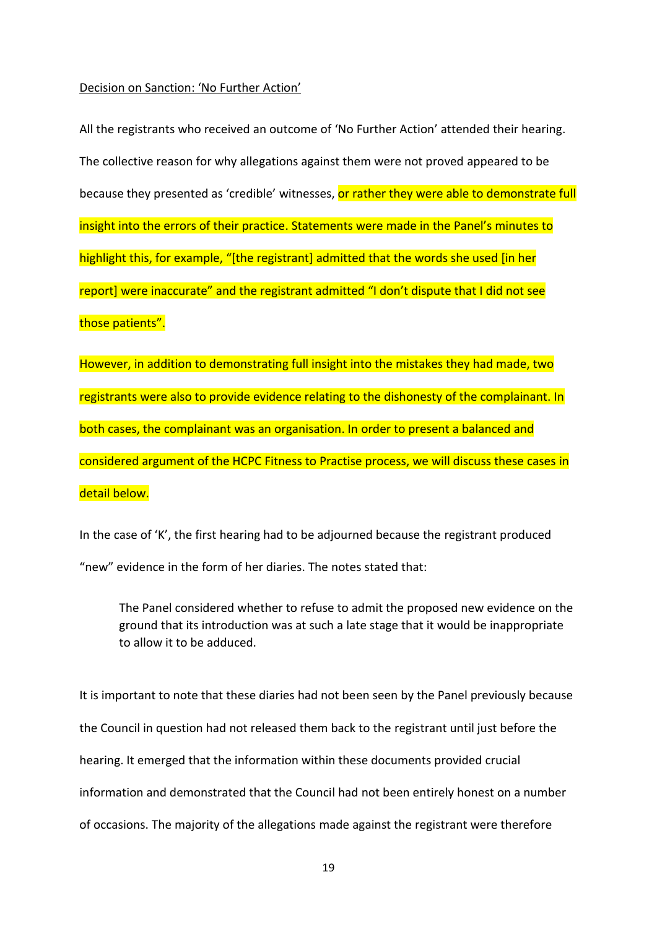### Decision on Sanction: 'No Further Action'

All the registrants who received an outcome of 'No Further Action' attended their hearing. The collective reason for why allegations against them were not proved appeared to be because they presented as 'credible' witnesses, or rather they were able to demonstrate full insight into the errors of their practice. Statements were made in the Panel's minutes to highlight this, for example, "[the registrant] admitted that the words she used [in her report] were inaccurate" and the registrant admitted "I don't dispute that I did not see those patients".

However, in addition to demonstrating full insight into the mistakes they had made, two registrants were also to provide evidence relating to the dishonesty of the complainant. In both cases, the complainant was an organisation. In order to present a balanced and considered argument of the HCPC Fitness to Practise process, we will discuss these cases in detail below.

In the case of 'K', the first hearing had to be adjourned because the registrant produced "new" evidence in the form of her diaries. The notes stated that:

The Panel considered whether to refuse to admit the proposed new evidence on the ground that its introduction was at such a late stage that it would be inappropriate to allow it to be adduced.

It is important to note that these diaries had not been seen by the Panel previously because the Council in question had not released them back to the registrant until just before the hearing. It emerged that the information within these documents provided crucial information and demonstrated that the Council had not been entirely honest on a number of occasions. The majority of the allegations made against the registrant were therefore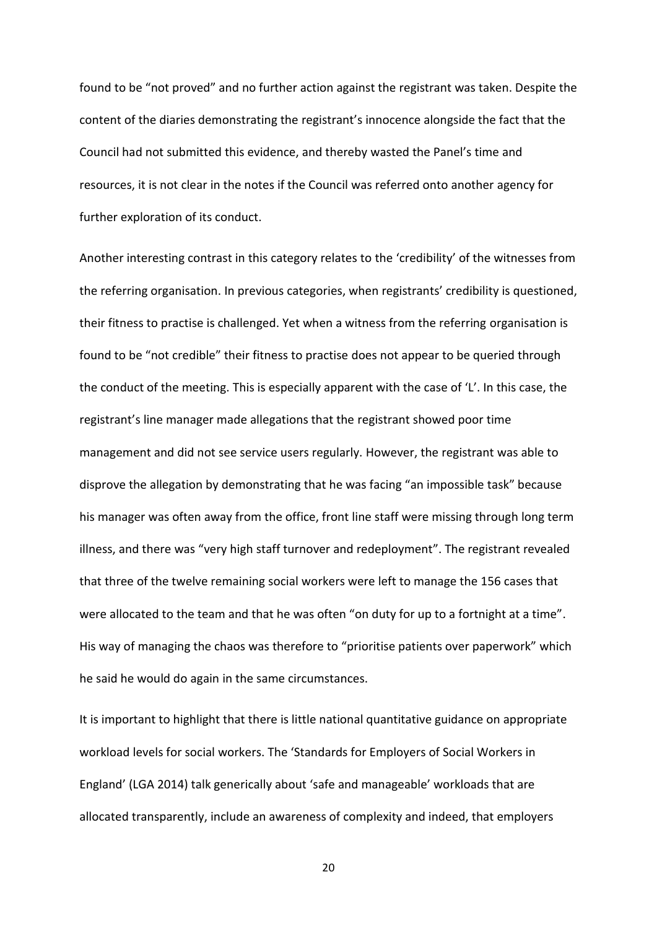found to be "not proved" and no further action against the registrant was taken. Despite the content of the diaries demonstrating the registrant's innocence alongside the fact that the Council had not submitted this evidence, and thereby wasted the Panel's time and resources, it is not clear in the notes if the Council was referred onto another agency for further exploration of its conduct.

Another interesting contrast in this category relates to the 'credibility' of the witnesses from the referring organisation. In previous categories, when registrants' credibility is questioned, their fitness to practise is challenged. Yet when a witness from the referring organisation is found to be "not credible" their fitness to practise does not appear to be queried through the conduct of the meeting. This is especially apparent with the case of 'L'. In this case, the registrant's line manager made allegations that the registrant showed poor time management and did not see service users regularly. However, the registrant was able to disprove the allegation by demonstrating that he was facing "an impossible task" because his manager was often away from the office, front line staff were missing through long term illness, and there was "very high staff turnover and redeployment". The registrant revealed that three of the twelve remaining social workers were left to manage the 156 cases that were allocated to the team and that he was often "on duty for up to a fortnight at a time". His way of managing the chaos was therefore to "prioritise patients over paperwork" which he said he would do again in the same circumstances.

It is important to highlight that there is little national quantitative guidance on appropriate workload levels for social workers. The 'Standards for Employers of Social Workers in England' (LGA 2014) talk generically about 'safe and manageable' workloads that are allocated transparently, include an awareness of complexity and indeed, that employers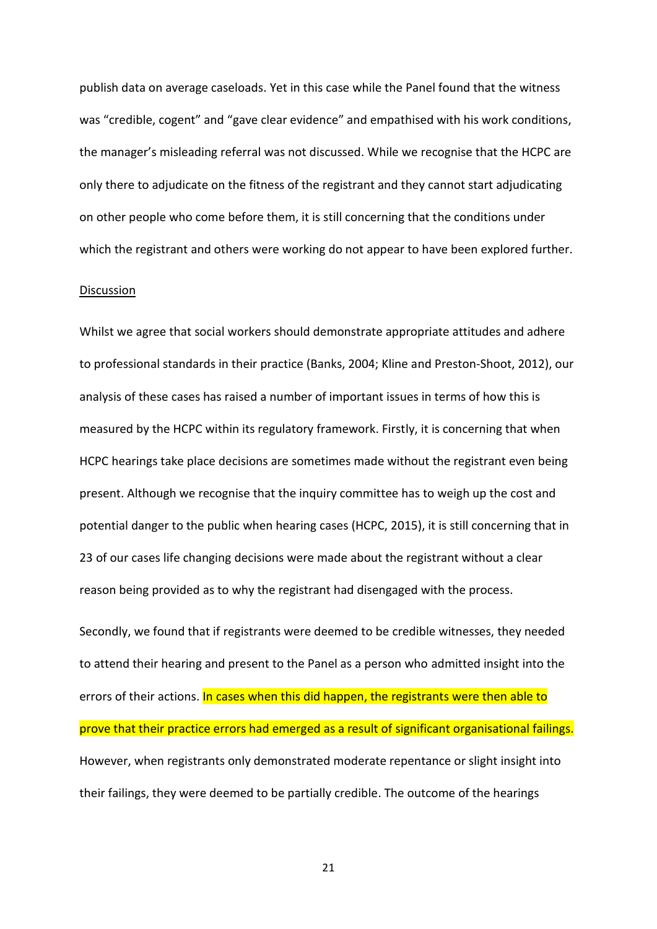publish data on average caseloads. Yet in this case while the Panel found that the witness was "credible, cogent" and "gave clear evidence" and empathised with his work conditions, the manager's misleading referral was not discussed. While we recognise that the HCPC are only there to adjudicate on the fitness of the registrant and they cannot start adjudicating on other people who come before them, it is still concerning that the conditions under which the registrant and others were working do not appear to have been explored further.

#### Discussion

Whilst we agree that social workers should demonstrate appropriate attitudes and adhere to professional standards in their practice (Banks, 2004; Kline and Preston-Shoot, 2012), our analysis of these cases has raised a number of important issues in terms of how this is measured by the HCPC within its regulatory framework. Firstly, it is concerning that when HCPC hearings take place decisions are sometimes made without the registrant even being present. Although we recognise that the inquiry committee has to weigh up the cost and potential danger to the public when hearing cases (HCPC, 2015), it is still concerning that in 23 of our cases life changing decisions were made about the registrant without a clear reason being provided as to why the registrant had disengaged with the process.

Secondly, we found that if registrants were deemed to be credible witnesses, they needed to attend their hearing and present to the Panel as a person who admitted insight into the errors of their actions. In cases when this did happen, the registrants were then able to prove that their practice errors had emerged as a result of significant organisational failings. However, when registrants only demonstrated moderate repentance or slight insight into their failings, they were deemed to be partially credible. The outcome of the hearings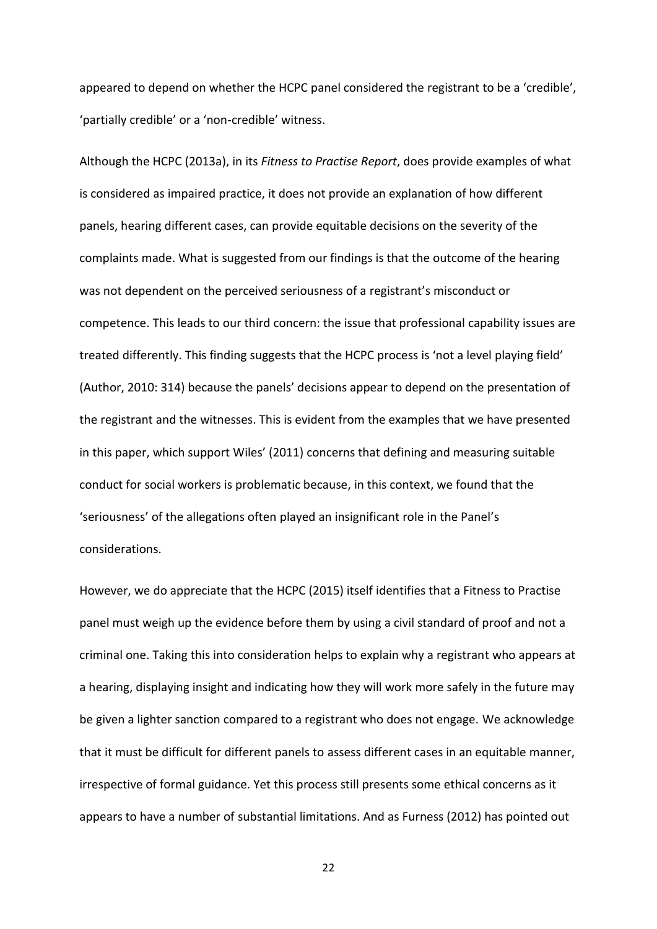appeared to depend on whether the HCPC panel considered the registrant to be a 'credible', 'partially credible' or a 'non-credible' witness.

Although the HCPC (2013a), in its *Fitness to Practise Report*, does provide examples of what is considered as impaired practice, it does not provide an explanation of how different panels, hearing different cases, can provide equitable decisions on the severity of the complaints made. What is suggested from our findings is that the outcome of the hearing was not dependent on the perceived seriousness of a registrant's misconduct or competence. This leads to our third concern: the issue that professional capability issues are treated differently. This finding suggests that the HCPC process is 'not a level playing field' (Author, 2010: 314) because the panels' decisions appear to depend on the presentation of the registrant and the witnesses. This is evident from the examples that we have presented in this paper, which support Wiles' (2011) concerns that defining and measuring suitable conduct for social workers is problematic because, in this context, we found that the 'seriousness' of the allegations often played an insignificant role in the Panel's considerations.

However, we do appreciate that the HCPC (2015) itself identifies that a Fitness to Practise panel must weigh up the evidence before them by using a civil standard of proof and not a criminal one. Taking this into consideration helps to explain why a registrant who appears at a hearing, displaying insight and indicating how they will work more safely in the future may be given a lighter sanction compared to a registrant who does not engage. We acknowledge that it must be difficult for different panels to assess different cases in an equitable manner, irrespective of formal guidance. Yet this process still presents some ethical concerns as it appears to have a number of substantial limitations. And as Furness (2012) has pointed out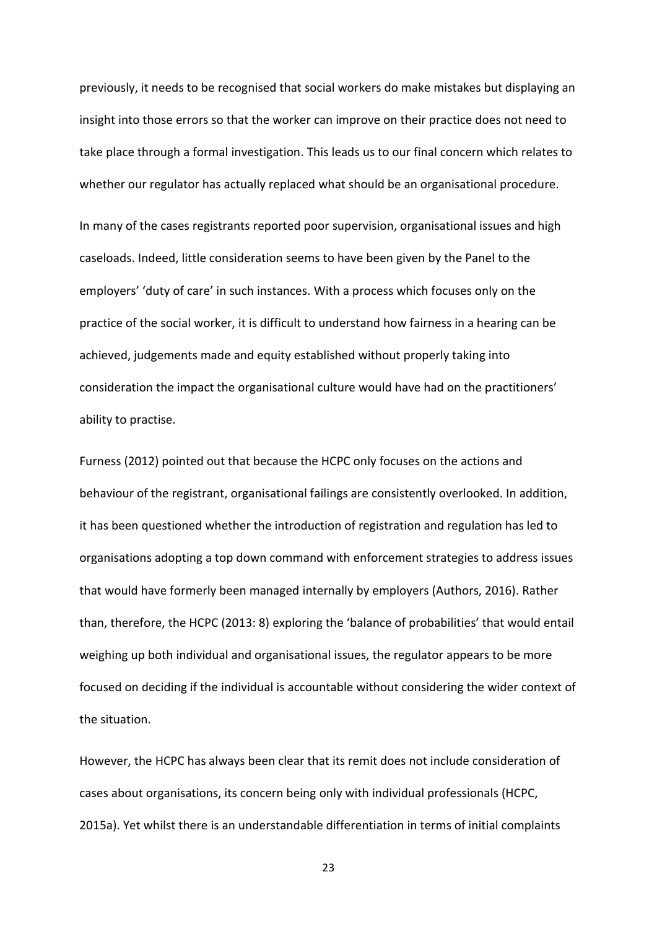previously, it needs to be recognised that social workers do make mistakes but displaying an insight into those errors so that the worker can improve on their practice does not need to take place through a formal investigation. This leads us to our final concern which relates to whether our regulator has actually replaced what should be an organisational procedure. In many of the cases registrants reported poor supervision, organisational issues and high caseloads. Indeed, little consideration seems to have been given by the Panel to the employers' 'duty of care' in such instances. With a process which focuses only on the practice of the social worker, it is difficult to understand how fairness in a hearing can be achieved, judgements made and equity established without properly taking into consideration the impact the organisational culture would have had on the practitioners' ability to practise.

Furness (2012) pointed out that because the HCPC only focuses on the actions and behaviour of the registrant, organisational failings are consistently overlooked. In addition, it has been questioned whether the introduction of registration and regulation has led to organisations adopting a top down command with enforcement strategies to address issues that would have formerly been managed internally by employers (Authors, 2016). Rather than, therefore, the HCPC (2013: 8) exploring the 'balance of probabilities' that would entail weighing up both individual and organisational issues, the regulator appears to be more focused on deciding if the individual is accountable without considering the wider context of the situation.

However, the HCPC has always been clear that its remit does not include consideration of cases about organisations, its concern being only with individual professionals (HCPC, 2015a). Yet whilst there is an understandable differentiation in terms of initial complaints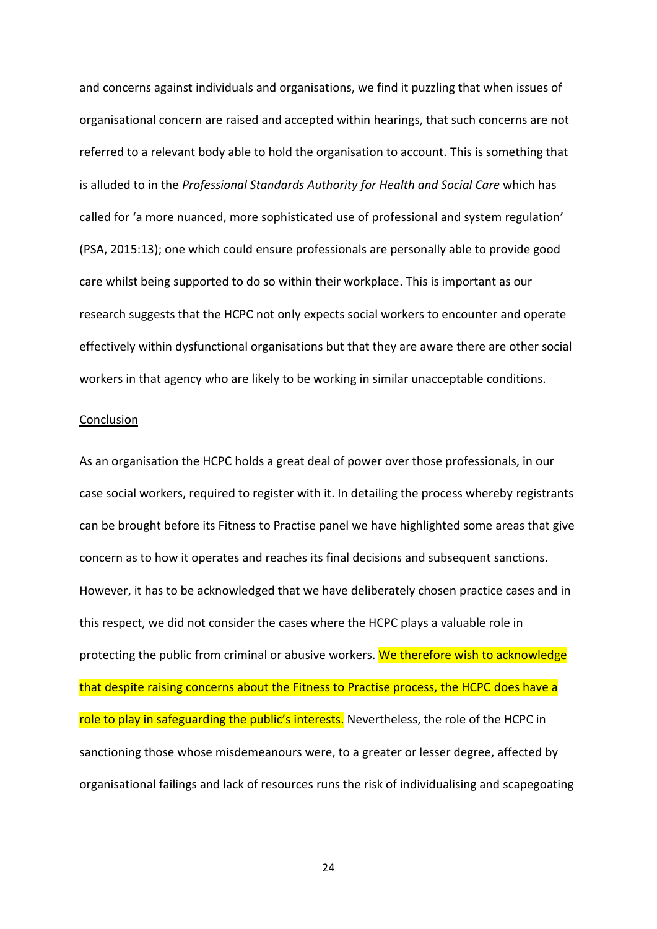and concerns against individuals and organisations, we find it puzzling that when issues of organisational concern are raised and accepted within hearings, that such concerns are not referred to a relevant body able to hold the organisation to account. This is something that is alluded to in the *Professional Standards Authority for Health and Social Care* which has called for 'a more nuanced, more sophisticated use of professional and system regulation' (PSA, 2015:13); one which could ensure professionals are personally able to provide good care whilst being supported to do so within their workplace. This is important as our research suggests that the HCPC not only expects social workers to encounter and operate effectively within dysfunctional organisations but that they are aware there are other social workers in that agency who are likely to be working in similar unacceptable conditions.

### Conclusion

As an organisation the HCPC holds a great deal of power over those professionals, in our case social workers, required to register with it. In detailing the process whereby registrants can be brought before its Fitness to Practise panel we have highlighted some areas that give concern as to how it operates and reaches its final decisions and subsequent sanctions. However, it has to be acknowledged that we have deliberately chosen practice cases and in this respect, we did not consider the cases where the HCPC plays a valuable role in protecting the public from criminal or abusive workers. We therefore wish to acknowledge that despite raising concerns about the Fitness to Practise process, the HCPC does have a role to play in safeguarding the public's interests. Nevertheless, the role of the HCPC in sanctioning those whose misdemeanours were, to a greater or lesser degree, affected by organisational failings and lack of resources runs the risk of individualising and scapegoating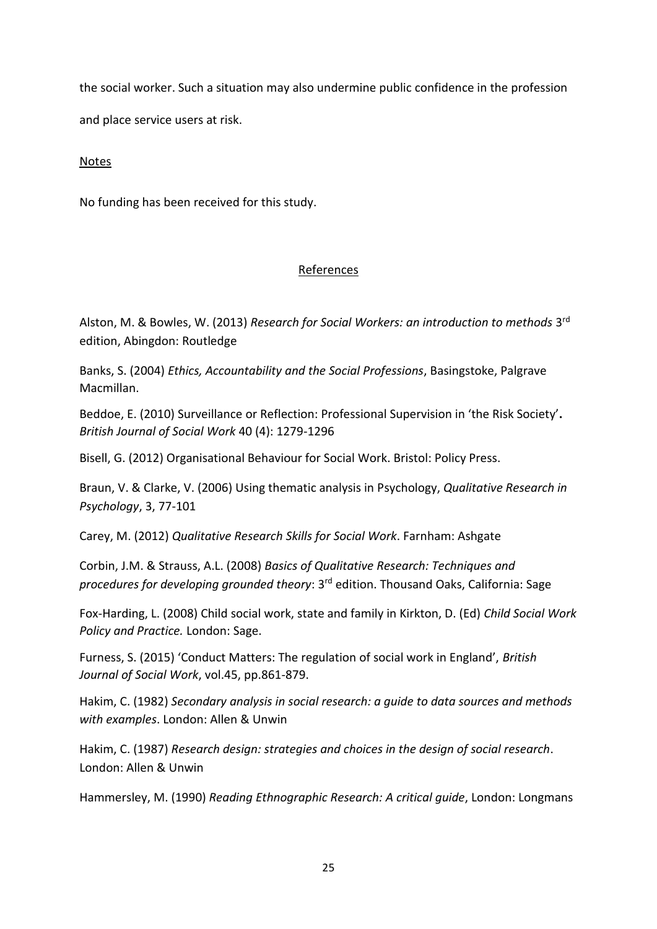the social worker. Such a situation may also undermine public confidence in the profession and place service users at risk.

## Notes

No funding has been received for this study.

# References

Alston, M. & Bowles, W. (2013) *Research for Social Workers: an introduction to methods* 3 rd edition, Abingdon: Routledge

Banks, S. (2004) *Ethics, Accountability and the Social Professions*, Basingstoke, Palgrave Macmillan.

Beddoe, E. (2010) Surveillance or Reflection: Professional Supervision in 'the Risk Society'**.**  *British Journal of Social Work* 40 (4): 1279-1296

Bisell, G. (2012) Organisational Behaviour for Social Work. Bristol: Policy Press.

Braun, V. & Clarke, V. (2006) Using thematic analysis in Psychology, *Qualitative Research in Psychology*, 3, 77-101

Carey, M. (2012) *Qualitative Research Skills for Social Work*. Farnham: Ashgate

Corbin, J.M. & Strauss, A.L. (2008) *Basics of Qualitative Research: Techniques and procedures for developing grounded theory*: 3rd edition. Thousand Oaks, California: Sage

Fox-Harding, L. (2008) Child social work, state and family in Kirkton, D. (Ed) *Child Social Work Policy and Practice.* London: Sage.

Furness, S. (2015) 'Conduct Matters: The regulation of social work in England', *British Journal of Social Work*, vol.45, pp.861-879.

Hakim, C. (1982) *Secondary analysis in social research: a guide to data sources and methods with examples*. London: Allen & Unwin

Hakim, C. (1987) *Research design: strategies and choices in the design of social research*. London: Allen & Unwin

Hammersley, M. (1990) *Reading Ethnographic Research: A critical guide*, London: Longmans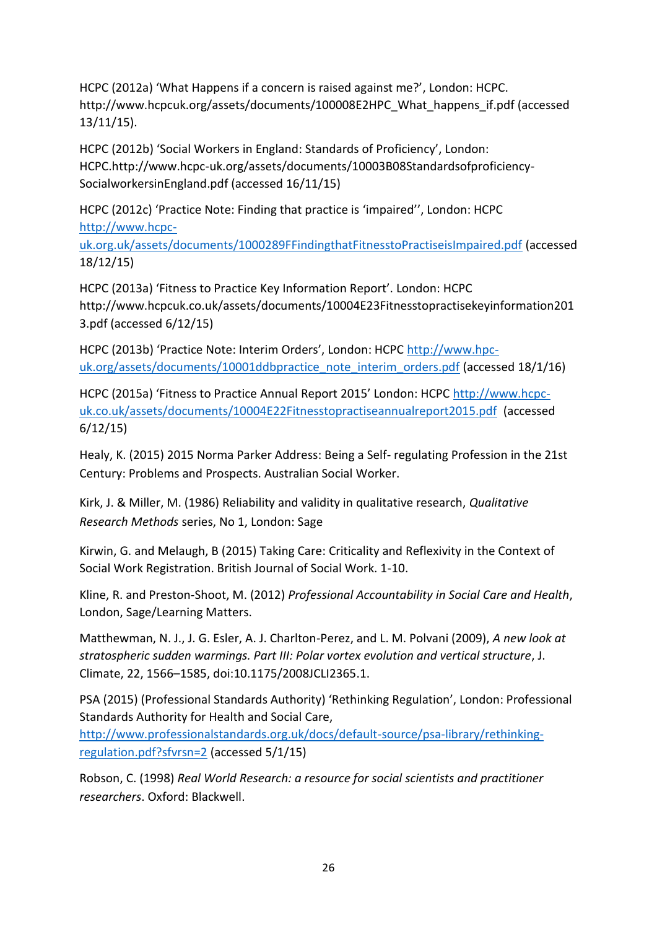HCPC (2012a) 'What Happens if a concern is raised against me?', London: HCPC. http://www.hcpcuk.org/assets/documents/100008E2HPC\_What\_happens\_if.pdf (accessed 13/11/15).

HCPC (2012b) 'Social Workers in England: Standards of Proficiency', London: HCPC.http://www.hcpc-uk.org/assets/documents/10003B08Standardsofproficiency-SocialworkersinEngland.pdf (accessed 16/11/15)

HCPC (2012c) 'Practice Note: Finding that practice is 'impaired'', London: HCPC [http://www.hcpc-](http://www.hcpc-uk.org.uk/assets/documents/1000289FFindingthatFitnesstoPractiseisImpaired.pdf)

[uk.org.uk/assets/documents/1000289FFindingthatFitnesstoPractiseisImpaired.pdf](http://www.hcpc-uk.org.uk/assets/documents/1000289FFindingthatFitnesstoPractiseisImpaired.pdf) (accessed 18/12/15)

HCPC (2013a) 'Fitness to Practice Key Information Report'. London: HCPC http://www.hcpcuk.co.uk/assets/documents/10004E23Fitnesstopractisekeyinformation201 3.pdf (accessed 6/12/15)

HCPC (2013b) 'Practice Note: Interim Orders', London: HCPC [http://www.hpc](http://www.hpc-uk.org/assets/documents/10001ddbpractice_note_interim_orders.pdf)[uk.org/assets/documents/10001ddbpractice\\_note\\_interim\\_orders.pdf](http://www.hpc-uk.org/assets/documents/10001ddbpractice_note_interim_orders.pdf) (accessed 18/1/16)

HCPC (2015a) 'Fitness to Practice Annual Report 2015' London: HCPC [http://www.hcpc](http://www.hcpc-uk.co.uk/assets/documents/10004E22Fitnesstopractiseannualreport2015.pdf)[uk.co.uk/assets/documents/10004E22Fitnesstopractiseannualreport2015.pdf](http://www.hcpc-uk.co.uk/assets/documents/10004E22Fitnesstopractiseannualreport2015.pdf) (accessed 6/12/15)

Healy, K. (2015) 2015 Norma Parker Address: Being a Self- regulating Profession in the 21st Century: Problems and Prospects. Australian Social Worker.

Kirk, J. & Miller, M. (1986) Reliability and validity in qualitative research, *Qualitative Research Methods* series, No 1, London: Sage

Kirwin, G. and Melaugh, B (2015) Taking Care: Criticality and Reflexivity in the Context of Social Work Registration. British Journal of Social Work. 1-10.

Kline, R. and Preston-Shoot, M. (2012) *Professional Accountability in Social Care and Health*, London, Sage/Learning Matters.

Matthewman, N. J., J. G. Esler, A. J. Charlton-Perez, and L. M. Polvani (2009), *A new look at stratospheric sudden warmings. Part III: Polar vortex evolution and vertical structure*, J. Climate, 22, 1566–1585, doi:10.1175/2008JCLI2365.1.

PSA (2015) (Professional Standards Authority) 'Rethinking Regulation', London: Professional Standards Authority for Health and Social Care, [http://www.professionalstandards.org.uk/docs/default-source/psa-library/rethinking](http://www.professionalstandards.org.uk/docs/default-source/psa-library/rethinking-regulation.pdf?sfvrsn=2)[regulation.pdf?sfvrsn=2](http://www.professionalstandards.org.uk/docs/default-source/psa-library/rethinking-regulation.pdf?sfvrsn=2) (accessed 5/1/15)

Robson, C. (1998) *Real World Research: a resource for social scientists and practitioner researchers*. Oxford: Blackwell.